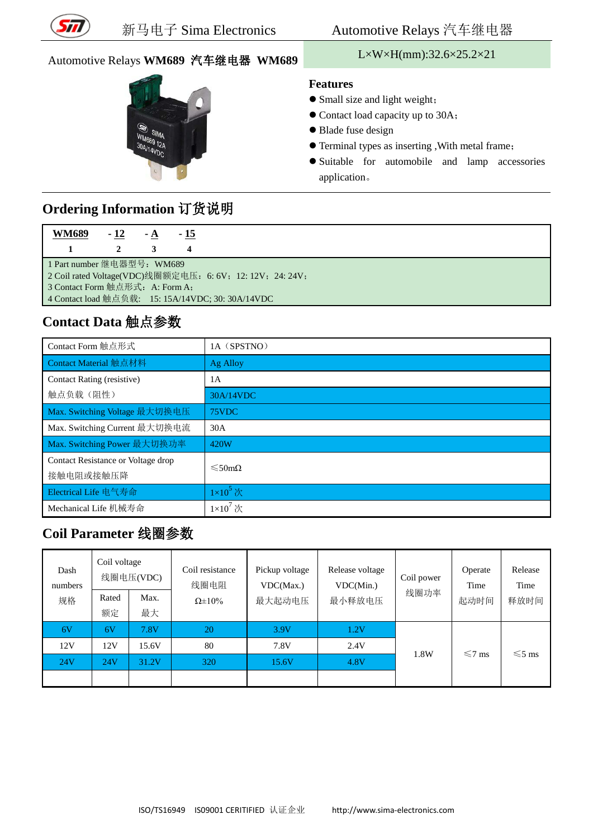

# Automotive Relays **WM689** 汽车继电器 **WM689** L×W×H(mm):32.6×25.2×21



#### **Features**

- Small size and light weight;
- Contact load capacity up to 30A;
- Blade fuse design
- Terminal types as inserting ,With metal frame;
- Suitable for automobile and lamp accessories application。

## **Ordering Information** 订货说明

| <b>WM689</b>                                                                                 | $-12$ | $-A$ | $-15$ |  |  |  |
|----------------------------------------------------------------------------------------------|-------|------|-------|--|--|--|
|                                                                                              |       |      |       |  |  |  |
| 1 Part number 继电器型号: WM689                                                                   |       |      |       |  |  |  |
| 2 Coil rated Voltage(VDC)线圈额定电压: 6: 6V; 12: 12V; 24: 24V;<br>3 Contact Form 触点形式: A: Form A; |       |      |       |  |  |  |
| 4 Contact load 触点负载: 15: 15A/14VDC; 30: 30A/14VDC                                            |       |      |       |  |  |  |

## **Contact Data** 触点参数

| Contact Form 触点形式                  | 1A (SPSTNO)              |  |  |
|------------------------------------|--------------------------|--|--|
| Contact Material 触点材料              | Ag Alloy                 |  |  |
| Contact Rating (resistive)         | 1 A                      |  |  |
| 触点负载(阻性)                           | 30A/14VDC                |  |  |
| Max. Switching Voltage 最大切换电压      | 75VDC                    |  |  |
| Max. Switching Current 最大切换电流      | 30A                      |  |  |
| Max. Switching Power 最大切换功率        | 420W                     |  |  |
| Contact Resistance or Voltage drop | $\leq 50 \text{m}\Omega$ |  |  |
| 接触电阻或接触压降                          |                          |  |  |
| Electrical Life 电气寿命               | $1\times10^5$ 次          |  |  |
| Mechanical Life 机械寿命               | $1\times10^7$ 次          |  |  |

#### **Coil Parameter** 线圈参数

| Dash<br>numbers | Coil voltage<br>线圈电压(VDC) |            | Coil resistance<br>线圈电阻 | Pickup voltage<br>VDC(Max.) | Release voltage<br>VDC(Min.) | Coil power | Operate<br>Time | Release<br>Time |
|-----------------|---------------------------|------------|-------------------------|-----------------------------|------------------------------|------------|-----------------|-----------------|
| 规格              | Rated<br>额定               | Max.<br>最大 | $\Omega \pm 10\%$       | 最大起动电压                      | 最小释放电压                       | 线圈功率       | 起动时间            | 释放时间            |
| 6V              | 6V                        | 7.8V       | 20                      | 3.9V                        | $1.2\mathrm{V}$              |            |                 |                 |
| 12V             | 12V                       | 15.6V      | 80                      | 7.8V                        | 2.4V                         |            |                 |                 |
| 24V             | 24V                       | 31.2V      | 320                     | 15.6V                       | 4.8V                         | 1.8W       | $\leq 7$ ms     | $\leq 5$ ms     |
|                 |                           |            |                         |                             |                              |            |                 |                 |